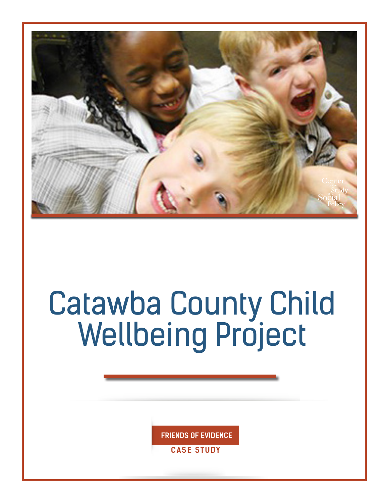

# Catawba County Child Wellbeing Project

**FRIENDS OF EVIDENCE**

**CASE STUDY**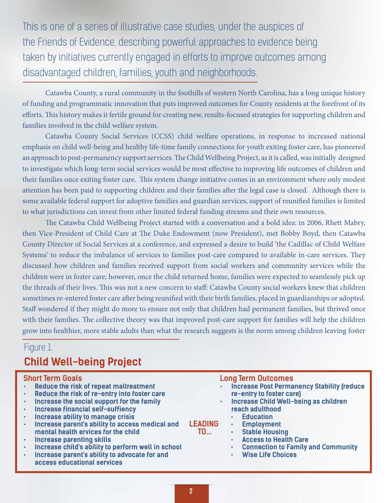This is one of a series of illustrative case studies, under the auspices of the Friends of Evidence, describing powerful approaches to evidence being taken by initiatives currently engaged in efforts to improve outcomes among disadvantaged children, families, youth and neighborhoods.

Catawba County, a rural community in the foothills of western North Carolina, has a long unique history of funding and programmatic innovation that puts improved outcomes for County residents at the forefront of its efforts. This history makes it fertile ground for creating new, results-focused strategies for supporting children and families involved in the child welfare system.

Catawba County Social Services (CCSS) child welfare operations, in response to increased national emphasis on child well-being and healthy life-time family connections for youth exiting foster care, has pioneered an approach to post-permanency support services. The Child Wellbeing Project, as it is called, was initially designed to investigate which long-term social services would be most effective to improving life outcomes of children and their families once exiting foster care. This system change initiative comes in an environment where only modest attention has been paid to supporting children and their families after the legal case is closed. Although there is some available federal support for adoptive families and guardian services, support of reunified families is limited to what jurisdictions can invest from other limited federal funding streams and their own resources.

The Catawba Child Wellbeing Project started with a conversation and a bold idea: in 2006, Rhett Mabry, then Vice-President of Child Care at The Duke Endowment (now President), met Bobby Boyd, then Catawba County Director of Social Services at a conference, and expressed a desire to build 'the Cadillac of Child Welfare Systems' to reduce the imbalance of services to families post-care compared to available in-care services. They discussed how children and families received support from social workers and community services while the children were in foster care; however, once the child returned home, families were expected to seamlessly pick up the threads of their lives. This was not a new concern to staff: Catawba County social workers knew that children sometimes re-entered foster care after being reunified with their birth families, placed in guardianships or adopted. Staff wondered if they might do more to ensure not only that children had permanent families, but thrived once with their families. The collective theory was that improved post-care support for families will help the children grow into healthier, more stable adults than what the research suggests is the norm among children leaving foster

### Figure 1. **Child Well-being Project**

#### **Short Term Goals**

- **• Reduce the risk of repeat maltreatment**
- **• Reduce the risk of re-entry into foster care**
- **• Increase the social support for the family**
- **• Increase financial self-suffiency**
- **• Increase ability to manage crisis**
- **• Increase parent's ability to access medical and mental health ervices for the child**
- **• Increase parenting skills**
- **• Increase child's ability to perform well in school**
- **• Increase parent's ability to advocate for and access educational services**

|  | <b>Long Term Outcomes</b> |  |  |
|--|---------------------------|--|--|
|  |                           |  |  |

- **• Increase Post Permanency Stability (reduce re-entry to foster care)**
- **• Increase Child Well-being as children reach adulthood**
	- **• Education**
	- **• Employment**
	- **• Stable Housing**
	- **• Access to Health Care**
	- **• Connection to Family and Community**
	- **• Wise Life Choices**

**LEADING TO...**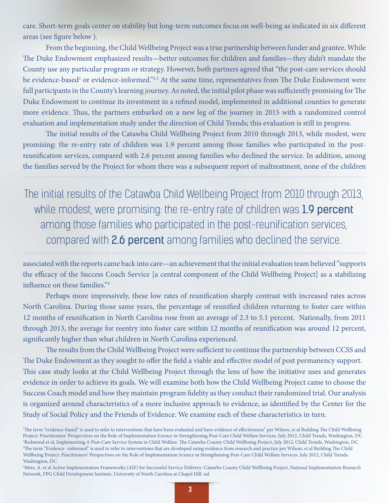care. Short-term goals center on stability but long-term outcomes focus on well-being as indicated in six different areas (see figure below ).

From the beginning, the Child Wellbeing Project was a true partnership between funder and grantee. While The Duke Endowment emphasized results—better outcomes for children and families—they didn't mandate the County use any particular program or strategy. However, both partners agreed that "the post-care services should be evidence-based<sup>1</sup> or evidence-informed."<sup>2,3</sup> At the same time, representatives from The Duke Endowment were full participants in the County's learning journey. As noted, the initial pilot phase was sufficiently promising for The Duke Endowment to continue its investment in a refined model, implemented in additional counties to generate more evidence. Thus, the partners embarked on a new leg of the journey in 2015 with a randomized control evaluation and implementation study under the direction of Child Trends; this evaluation is still in progress.

The initial results of the Catawba Child Wellbeing Project from 2010 through 2013, while modest, were promising: the re-entry rate of children was 1.9 percent among those families who participated in the postreunification services, compared with 2.6 percent among families who declined the service. In addition, among the families served by the Project for whom there was a subsequent report of maltreatment, none of the children

The initial results of the Catawba Child Wellbeing Project from 2010 through 2013, while modest, were promising: the re-entry rate of children was 1.9 percent among those families who participated in the post-reunification services, compared with 2.6 percent among families who declined the service.

associated with the reports came back into care—an achievement that the initial evaluation team believed "supports the efficacy of the Success Coach Service [a central component of the Child Wellbeing Project] as a stabilizing influence on these families."4

Perhaps more impressively, these low rates of reunification sharply contrast with increased rates across North Carolina. During those same years, the percentage of reunified children returning to foster care within 12 months of reunification in North Carolina rose from an average of 2.3 to 5.1 percent. Nationally, from 2011 through 2013, the average for reentry into foster care within 12 months of reunification was around 12 percent, significantly higher than what children in North Carolina experienced.

The results from the Child Wellbeing Project were sufficient to continue the partnership between CCSS and The Duke Endowment as they sought to offer the field a viable and effective model of post permanency support. This case study looks at the Child Wellbeing Project through the lens of how the initiative uses and generates evidence in order to achieve its goals. We will examine both how the Child Wellbeing Project came to choose the Success Coach model and how they maintain program fidelity as they conduct their randomized trial. Our analysis is organized around characteristics of a more inclusive approach to evidence, as identified by the Center for the Study of Social Policy and the Friends of Evidence. We examine each of these characteristics in turn.

<sup>1</sup> The term "evidence-based" is used to refer to interventions that have been evaluated and have evidence of effectiveness" per Wilson, et al Building The Child Wellbeing Project: Practitioners' Perspectives on the Role of Implementation Science in Strengthening Post-Care Child Welfare Services. July 2012, Child Trends, Washington, DC 2 Redmond et al, Implementing A Post-Care Service System in Child Welfare: The Catawba County Child Wellbeing Project, July 2012, Child Trends, Washington, DC 3 The term "Evidence –informed" is used to refer to interventions that are developed using evidence from research and practice per Wilson, et al Building The Child Wellbeing Project: Practitioners' Perspectives on the Role of Implementation Science in Strengthening Post-Care Child Welfare Services. July 2012, Child Trends, Washington, DC

<sup>4</sup> Metz, A. et al Active Implementation Frameworks (AIF) for Successful Service Delivery: Catawba County Child Wellbeing Project, National Implementation Research Network, FPG Child Development Institute, University of North Carolina at Chapel Hill. nd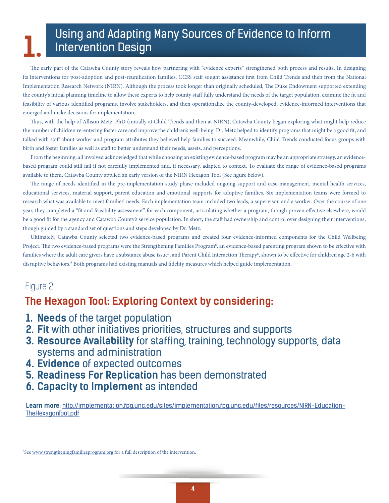## Using and Adapting Many Sources of Evidence to Inform **1.** Intervention Design

The early part of the Catawba County story reveals how partnering with "evidence experts" strengthened both process and results. In designing its interventions for post-adoption and post-reunification families, CCSS staff sought assistance first from Child Trends and then from the National Implementation Research Network (NIRN). Although the process took longer than originally scheduled, The Duke Endowment supported extending the county's initial planning timeline to allow these experts to help county staff fully understand the needs of the target population, examine the fit and feasibility of various identified programs, involve stakeholders, and then operationalize the county-developed, evidence-informed interventions that emerged and make decisions for implementation.

Thus, with the help of Allison Metz, PhD (initially at Child Trends and then at NIRN), Catawba County began exploring what might help reduce the number of children re-entering foster care and improve the children's well-being. Dr. Metz helped to identify programs that might be a good fit, and talked with staff about worker and program attributes they believed help families to succeed. Meanwhile, Child Trends conducted focus groups with birth and foster families as well as staff to better understand their needs, assets, and perceptions.

From the beginning, all involved acknowledged that while choosing an existing evidence-based program may be an appropriate strategy, an evidencebased program could still fail if not carefully implemented and, if necessary, adapted to context. To evaluate the range of evidence-based programs available to them, Catawba County applied an early version of the NIRN Hexagon Tool (See figure below).

The range of needs identified in the pre-implementation study phase included ongoing support and case management, mental health services, educational services, material support, parent education and emotional supports for adoptive families. Six implementation teams were formed to research what was available to meet families' needs. Each implementation team included two leads, a supervisor, and a worker. Over the course of one year, they completed a "fit and feasibility assessment" for each component, articulating whether a program, though proven effective elsewhere, would be a good fit for the agency and Catawba County's service population. In short, the staff had ownership and control over designing their interventions, though guided by a standard set of questions and steps developed by Dr. Metz.

Ultimately, Catawba County selected two evidence-based programs and created four evidence-informed components for the Child Wellbeing Project. The two evidence-based programs were the Strengthening Families Program<sup>6</sup>, an evidence-based parenting program shown to be effective with families where the adult care givers have a substance abuse issue<sup>7</sup>; and Parent Child Interaction Therapy<sup>8</sup>, shown to be effective for children age 2-6 with disruptive behaviors.<sup>9</sup> Both programs had existing manuals and fidelity measures which helped guide implementation.

#### Figure 2.

#### **The Hexagon Tool: Exploring Context by considering:**

- **1. Needs** of the target population
- **2. Fit** with other initiatives priorities, structures and supports
- **3. Resource Availability** for staffing, training, technology supports, data systems and administration
- **4. Evidence** of expected outcomes
- **5. Readiness For Replication** has been demonstrated
- **6. Capacity to Implement** as intended

**Learn more**: [http://implementation.fpg.unc.edu/sites/implementation.fpg.unc.edu/files/resources/NIRN-Education-](http://implementation.fpg.unc.edu/sites/implementation.fpg.unc.edu/files/resources/NIRN-Education-TheHexagonTool.pdf)[TheHexagonTool.pdf](http://implementation.fpg.unc.edu/sites/implementation.fpg.unc.edu/files/resources/NIRN-Education-TheHexagonTool.pdf)

<sup>6</sup>See [www.strengtheningfamiliesprogram.org](http://www.strengtheningfamiliesprogram.org) for a full description of the intervention.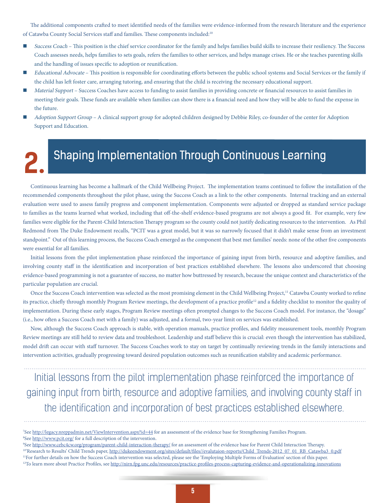The additional components crafted to meet identified needs of the families were evidence-informed from the research literature and the experience of Catawba County Social Services staff and families. These components included:10

- Success Coach This position is the chief service coordinator for the family and helps families build skills to increase their resiliency. The Success Coach assesses needs, helps families to sets goals, refers the families to other services, and helps manage crises. He or she teaches parenting skills and the handling of issues specific to adoption or reunification.
- Educational Advocate This position is responsible for coordinating efforts between the public school systems and Social Services or the family if the child has left foster care, arranging tutoring, and ensuring that the child is receiving the necessary educational support.
- Material Support Success Coaches have access to funding to assist families in providing concrete or financial resources to assist families in meeting their goals. These funds are available when families can show there is a financial need and how they will be able to fund the expense in the future.
- Adoption Support Group A clinical support group for adopted children designed by Debbie Riley, co-founder of the center for Adoption Support and Education.

## Shaping Implementation Through Continuous Learning **2.**

Continuous learning has become a hallmark of the Child Wellbeing Project. The implementation teams continued to follow the installation of the recommended components throughout the pilot phase, using the Success Coach as a link to the other components. Internal tracking and an external evaluation were used to assess family progress and component implementation. Components were adjusted or dropped as standard service package to families as the teams learned what worked, including that off-the-shelf evidence-based programs are not always a good fit. For example, very few families were eligible for the Parent-Child Interaction Therapy program so the county could not justify dedicating resources to the intervention. As Phil Redmond from The Duke Endowment recalls, "PCIT was a great model, but it was so narrowly focused that it didn't make sense from an investment standpoint." Out of this learning process, the Success Coach emerged as the component that best met families' needs: none of the other five components were essential for all families.

Initial lessons from the pilot implementation phase reinforced the importance of gaining input from birth, resource and adoptive families, and involving county staff in the identification and incorporation of best practices established elsewhere. The lessons also underscored that choosing evidence-based programming is not a guarantee of success, no matter how buttressed by research, because the unique context and characteristics of the particular population are crucial.

Once the Success Coach intervention was selected as the most promising element in the Child Wellbeing Project,<sup>11</sup> Catawba County worked to refine its practice, chiefly through monthly Program Review meetings, the development of a practice profile<sup>12</sup> and a fidelity checklist to monitor the quality of implementation. During these early stages, Program Review meetings often prompted changes to the Success Coach model. For instance, the "dosage" (i.e., how often a Success Coach met with a family) was adjusted, and a formal, two-year limit on services was established.

Now, although the Success Coach approach is stable, with operation manuals, practice profiles, and fidelity measurement tools, monthly Program Review meetings are still held to review data and troubleshoot. Leadership and staff believe this is crucial: even though the intervention has stabilized, model drift can occur with staff turnover. The Success Coaches work to stay on target by continually reviewing trends in the family interactions and intervention activities, gradually progressing toward desired population outcomes such as reunification stability and academic performance.

Initial lessons from the pilot implementation phase reinforced the importance of gaining input from birth, resource and adoptive families, and involving county staff in the identification and incorporation of best practices established elsewhere.

<sup>&</sup>lt;sup>7</sup>See <http://legacy.nreppadmin.net/ViewIntervention.aspx?id=44>for an assessment of the evidence base for Strengthening Families Program. <sup>8</sup>See <http://www.pcit.org/> for a full description of the intervention.

<sup>&</sup>lt;sup>9</sup>See <http://www.cebc4cw.org/program/parent-child-interaction-therapy/> for an assessment of the evidence base for Parent Child Interaction Therapy. <sup>10'</sup>Research to Results' Child Trends paper, [http://dukeendowment.org/sites/default/files//evalutaion-reports/Child\\_Trends-2012\\_07\\_01\\_RB\\_Catawba3\\_0.pdf](http://dukeendowment.org/sites/default/files//evalutaion-reports/Child_Trends-2012_07_01_RB_Catawba3_0.pdf) 11For further details on how the Success Coach intervention was selected, please see the 'Employing Multiple Forms of Evaluation' section of this paper. <sup>12</sup>To learn more about Practice Profiles, see<http://nirn.fpg.unc.edu/resources/practice-profiles-process-capturing-evidence-and-operationalizing-innovations>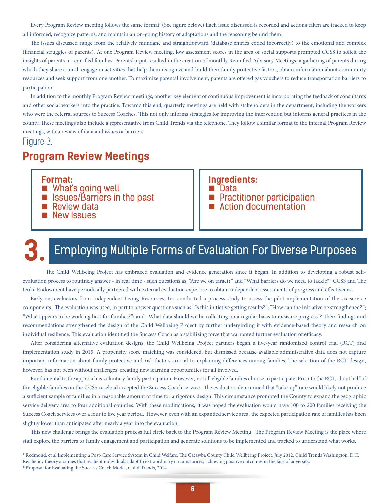Every Program Review meeting follows the same format. (See figure below.) Each issue discussed is recorded and actions taken are tracked to keep all informed, recognize patterns, and maintain an on-going history of adaptations and the reasoning behind them.

The issues discussed range from the relatively mundane and straightforward (database entries coded incorrectly) to the emotional and complex (financial struggles of parents). At one Program Review meeting, low assessment scores in the area of social supports prompted CCSS to solicit the insights of parents in reunified families. Parents' input resulted in the creation of monthly Reunified Advisory Meetings–a gathering of parents during which they share a meal, engage in activities that help them recognize and build their family protective factors, obtain information about community resources and seek support from one another. To maximize parental involvement, parents are offered gas vouchers to reduce transportation barriers to participation.

In addition to the monthly Program Review meetings, another key element of continuous improvement is incorporating the feedback of consultants and other social workers into the practice. Towards this end, quarterly meetings are held with stakeholders in the department, including the workers who were the referral sources to Success Coaches. This not only informs strategies for improving the intervention but informs general practices in the county. These meetings also include a representative from Child Trends via the telephone. They follow a similar format to the internal Program Review meetings, with a review of data and issues or barriers.

#### Figure 3.

### **Program Review Meetings**

**Format:**

- What's going well
- Issues/Barriers in the past
- **Review data**
- New Issues

#### **Ingredients:**

- Data
- **Practitioner participation**
- Action documentation

## **3.** Employing Multiple Forms of Evaluation For Diverse Purposes

The Child Wellbeing Project has embraced evaluation and evidence generation since it began. In addition to developing a robust selfevaluation process to routinely answer - in real time - such questions as, "Are we on target?" and "What barriers do we need to tackle?" CCSS and The Duke Endowment have periodically partnered with external evaluation expertise to obtain independent assessments of progress and effectiveness.

Early on, evaluators from Independent Living Resources, Inc conducted a process study to assess the pilot implementation of the six service components. The evaluation was used, in part to answer questions such as "Is this initiative getting results?"; "How can the initiative be strengthened?"; "What appears to be working best for families?"; and "What data should we be collecting on a regular basis to measure progress"? Their findings and recommendations strengthened the design of the Child Wellbeing Project by further undergirding it with evidence-based theory and research on individual resilience. This evaluation identified the Success Coach as a stabilizing force that warranted further evaluation of efficacy.

After considering alternative evaluation designs, the Child Wellbeing Project partners began a five-year randomized control trial (RCT) and implementation study in 2015. A propensity score matching was considered, but dismissed because available administrative data does not capture important information about family protective and risk factors critical to explaining differences among families. The selection of the RCT design, however, has not been without challenges, creating new learning opportunities for all involved.

Fundamental to the approach is voluntary family participation. However, not all eligible families choose to participate. Prior to the RCT, about half of the eligible families on the CCSS caseload accepted the Success Coach service. The evaluators determined that "take-up" rate would likely not produce a sufficient sample of families in a reasonable amount of time for a rigorous design. This circumstance prompted the County to expand the geographic service delivery area to four additional counties. With these modifications, it was hoped the evaluation would have 100 to 200 families receiving the Success Coach services over a four to five year period. However, even with an expanded service area, the expected participation rate of families has been slightly lower than anticipated after nearly a year into the evaluation.

This new challenge brings the evaluation process full circle back to the Program Review Meeting. The Program Review Meeting is the place where staff explore the barriers to family engagement and participation and generate solutions to be implemented and tracked to understand what works.

13Redmond, et al Implementing a Post-Care Service System in Child Welfare: The Catawba County Child Wellbeing Project, July 2012, Child Trends Washington, D.C. Resiliency theory assumes that resilient individuals adapt to extraordinary circumstances, achieving positive outcomes in the face of adversity. <sup>14</sup>Proposal for Evaluating the Success Coach Model, Child Trends, 2014.